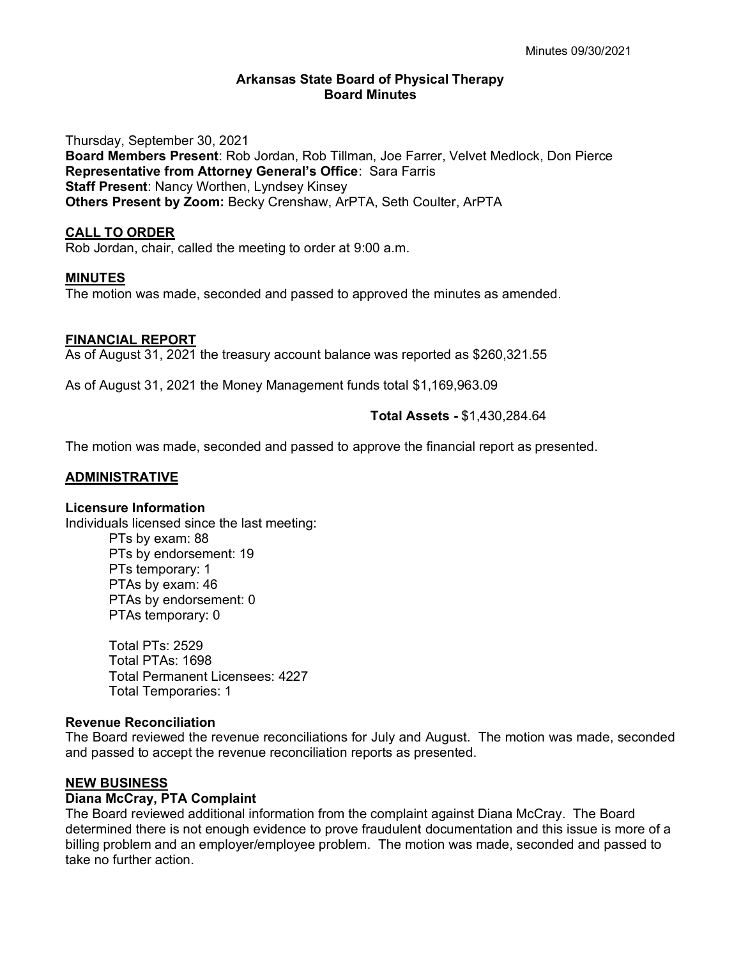### **Arkansas State Board of Physical Therapy Board Minutes**

Thursday, September 30, 2021 **Board Members Present**: Rob Jordan, Rob Tillman, Joe Farrer, Velvet Medlock, Don Pierce **Representative from Attorney General's Office**: Sara Farris **Staff Present**: Nancy Worthen, Lyndsey Kinsey **Others Present by Zoom:** Becky Crenshaw, ArPTA, Seth Coulter, ArPTA

# **CALL TO ORDER**

Rob Jordan, chair, called the meeting to order at 9:00 a.m.

### **MINUTES**

The motion was made, seconded and passed to approved the minutes as amended.

# **FINANCIAL REPORT**

As of August 31, 2021 the treasury account balance was reported as \$260,321.55

As of August 31, 2021 the Money Management funds total \$1,169,963.09

# **Total Assets -** \$1,430,284.64

The motion was made, seconded and passed to approve the financial report as presented.

### **ADMINISTRATIVE**

### **Licensure Information**

Individuals licensed since the last meeting:

PTs by exam: 88 PTs by endorsement: 19 PTs temporary: 1 PTAs by exam: 46 PTAs by endorsement: 0 PTAs temporary: 0

Total PTs: 2529 Total PTAs: 1698 Total Permanent Licensees: 4227 Total Temporaries: 1

### **Revenue Reconciliation**

The Board reviewed the revenue reconciliations for July and August. The motion was made, seconded and passed to accept the revenue reconciliation reports as presented.

### **NEW BUSINESS**

# **Diana McCray, PTA Complaint**

The Board reviewed additional information from the complaint against Diana McCray. The Board determined there is not enough evidence to prove fraudulent documentation and this issue is more of a billing problem and an employer/employee problem. The motion was made, seconded and passed to take no further action.